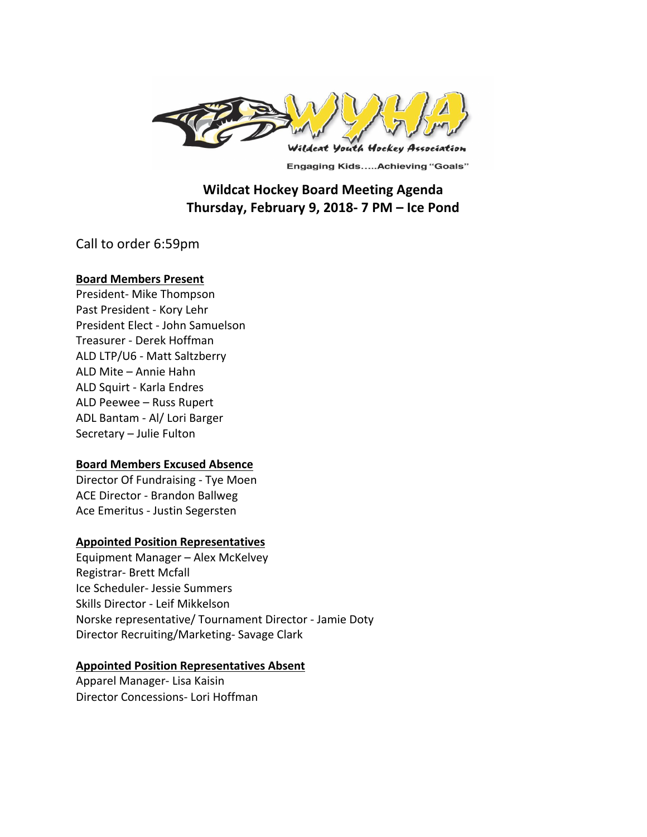

**Engaging Kids.....Achieving "Goals"** 

# **Wildcat Hockey Board Meeting Agenda Thursday, February 9, 2018- 7 PM – Ice Pond**

Call to order 6:59pm

## **Board Members Present**

President- Mike Thompson Past President - Kory Lehr President Elect - John Samuelson Treasurer - Derek Hoffman ALD LTP/U6 - Matt Saltzberry ALD Mite - Annie Hahn ALD Squirt - Karla Endres ALD Peewee - Russ Rupert ADL Bantam - Al/ Lori Barger Secretary - Julie Fulton

## **Board Members Excused Absence**

Director Of Fundraising - Tye Moen ACE Director - Brandon Ballweg Ace Emeritus - Justin Segersten

## **Appointed Position Representatives**

Equipment Manager - Alex McKelvey Registrar- Brett Mcfall Ice Scheduler- Jessie Summers Skills Director - Leif Mikkelson Norske representative/ Tournament Director - Jamie Doty Director Recruiting/Marketing- Savage Clark

## **Appointed Position Representatives Absent**

Apparel Manager- Lisa Kaisin Director Concessions- Lori Hoffman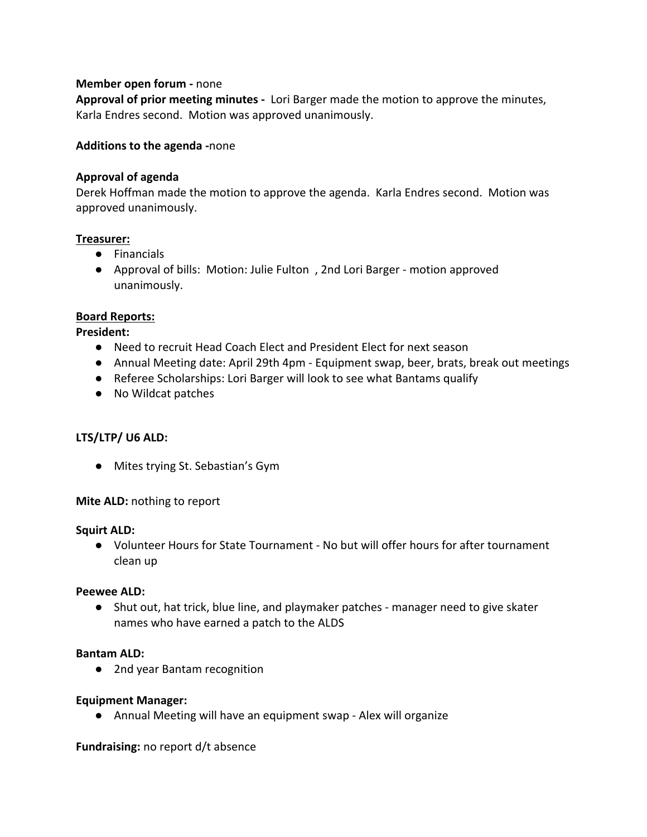## **Member open forum - none**

**Approval of prior meeting minutes** - Lori Barger made the motion to approve the minutes, Karla Endres second. Motion was approved unanimously.

## **Additions to the agenda -none**

#### **Approval of agenda**

Derek Hoffman made the motion to approve the agenda. Karla Endres second. Motion was approved unanimously.

#### **Treasurer:**

- Financials
- Approval of bills: Motion: Julie Fulton, 2nd Lori Barger motion approved unanimously.

#### **Board Reports:**

**President:**

- Need to recruit Head Coach Elect and President Elect for next season
- Annual Meeting date: April 29th 4pm Equipment swap, beer, brats, break out meetings
- Referee Scholarships: Lori Barger will look to see what Bantams qualify
- No Wildcat patches

## LTS/LTP/ U6 ALD:

● Mites trying St. Sebastian's Gym

**Mite ALD:** nothing to report

#### **Squirt ALD:**

● Volunteer Hours for State Tournament - No but will offer hours for after tournament clean up

#### **Peewee ALD:**

● Shut out, hat trick, blue line, and playmaker patches - manager need to give skater names who have earned a patch to the ALDS

#### **Bantam ALD:**

● 2nd year Bantam recognition

#### **Equipment Manager:**

● Annual Meeting will have an equipment swap - Alex will organize

**Fundraising:** no report d/t absence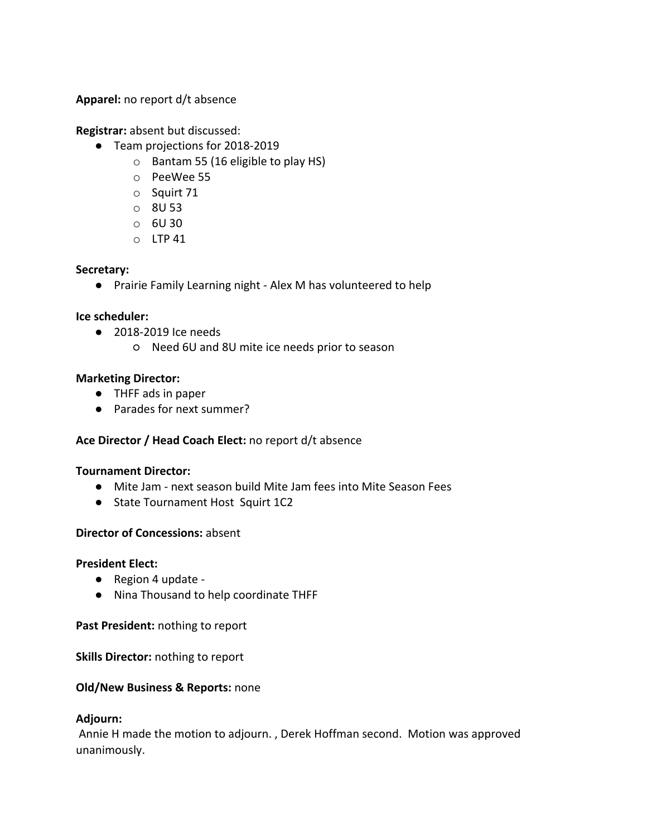Apparel: no report d/t absence

**Registrar:** absent but discussed:

- Team projections for 2018-2019
	- $\circ$  Bantam 55 (16 eligible to play HS)
	- o PeeWee 55
	- o Squirt 71
	- o 8U 53
	- $\circ$  6U 30
	- $O$  LTP 41

#### **Secretary:**

● Prairie Family Learning night - Alex M has volunteered to help

#### **Ice scheduler:**

- 2018-2019 Ice needs
	- Need 6U and 8U mite ice needs prior to season

## **Marketing Director:**

- THFF ads in paper
- Parades for next summer?

## Ace Director / Head Coach Elect: no report d/t absence

#### **Tournament Director:**

- Mite Jam next season build Mite Jam fees into Mite Season Fees
- State Tournament Host Squirt 1C2

## **Director of Concessions: absent**

#### **President Elect:**

- Region 4 update -
- Nina Thousand to help coordinate THFF

**Past President:** nothing to report

**Skills Director:** nothing to report

#### **Old/New Business & Reports: none**

#### **Adjourn:**

Annie H made the motion to adjourn., Derek Hoffman second. Motion was approved unanimously.